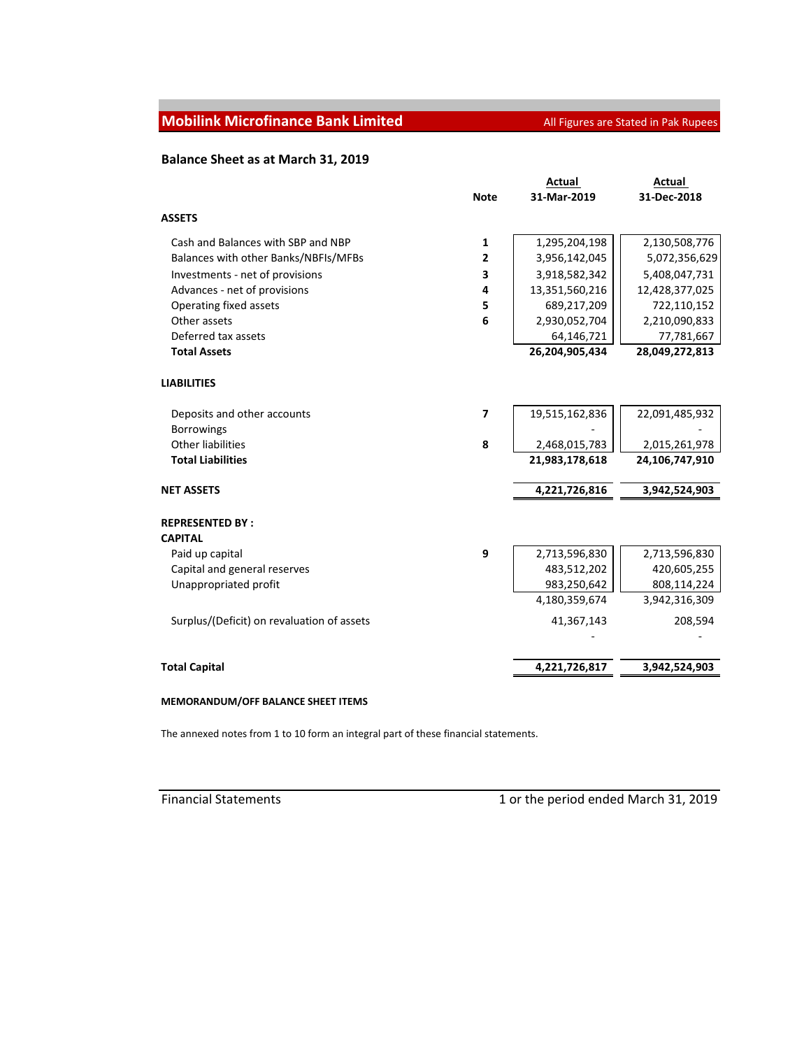## **Mobilink Microfinance Bank Limited All Figures are Stated in Pak Rupees**

## **Balance Sheet as at March 31, 2019**

|                                            |             | Actual         | Actual         |
|--------------------------------------------|-------------|----------------|----------------|
|                                            | <b>Note</b> | 31-Mar-2019    | 31-Dec-2018    |
| <b>ASSETS</b>                              |             |                |                |
| Cash and Balances with SBP and NBP         | 1           | 1,295,204,198  | 2,130,508,776  |
| Balances with other Banks/NBFIs/MFBs       | 2           | 3,956,142,045  | 5,072,356,629  |
| Investments - net of provisions            | 3           | 3,918,582,342  | 5,408,047,731  |
| Advances - net of provisions               | 4           | 13,351,560,216 | 12,428,377,025 |
| Operating fixed assets                     | 5           | 689,217,209    | 722,110,152    |
| Other assets                               | 6           | 2,930,052,704  | 2,210,090,833  |
| Deferred tax assets                        |             | 64,146,721     | 77,781,667     |
| <b>Total Assets</b>                        |             | 26,204,905,434 | 28,049,272,813 |
| <b>LIABILITIES</b>                         |             |                |                |
| Deposits and other accounts                | 7           | 19,515,162,836 | 22,091,485,932 |
| <b>Borrowings</b>                          |             |                |                |
| Other liabilities                          | 8           | 2,468,015,783  | 2,015,261,978  |
| <b>Total Liabilities</b>                   |             | 21,983,178,618 | 24,106,747,910 |
| <b>NET ASSETS</b>                          |             | 4,221,726,816  | 3,942,524,903  |
| <b>REPRESENTED BY:</b>                     |             |                |                |
| <b>CAPITAL</b>                             |             |                |                |
| Paid up capital                            | 9           | 2,713,596,830  | 2,713,596,830  |
| Capital and general reserves               |             | 483,512,202    | 420,605,255    |
| Unappropriated profit                      |             | 983,250,642    | 808,114,224    |
|                                            |             | 4,180,359,674  | 3,942,316,309  |
| Surplus/(Deficit) on revaluation of assets |             | 41,367,143     | 208,594        |
| <b>Total Capital</b>                       |             | 4,221,726,817  | 3,942,524,903  |

## **MEMORANDUM/OFF BALANCE SHEET ITEMS**

The annexed notes from 1 to 10 form an integral part of these financial statements.

Financial Statements **1 Community** 1 or the period ended March 31, 2019